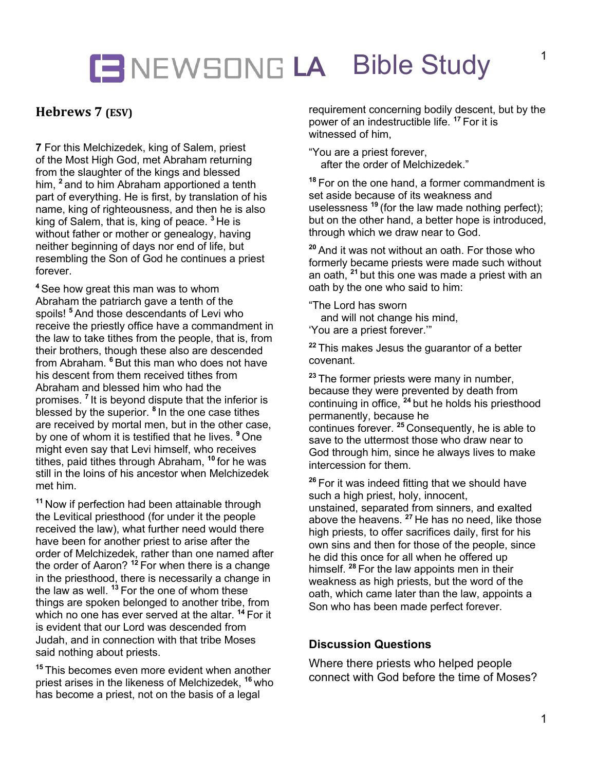## **LA** Bible Study

## **Hebrews 7 (ESV)**

**7** For this Melchizedek, king of Salem, priest of the Most High God, met Abraham returning from the slaughter of the kings and blessed him, **<sup>2</sup>** and to him Abraham apportioned a tenth part of everything. He is first, by translation of his name, king of righteousness, and then he is also king of Salem, that is, king of peace. **<sup>3</sup>** He is without father or mother or genealogy, having neither beginning of days nor end of life, but resembling the Son of God he continues a priest forever.

**<sup>4</sup>** See how great this man was to whom Abraham the patriarch gave a tenth of the spoils! **<sup>5</sup>** And those descendants of Levi who receive the priestly office have a commandment in the law to take tithes from the people, that is, from their brothers, though these also are descended from Abraham. **<sup>6</sup>** But this man who does not have his descent from them received tithes from Abraham and blessed him who had the promises. **<sup>7</sup>** It is beyond dispute that the inferior is blessed by the superior. **<sup>8</sup>** In the one case tithes are received by mortal men, but in the other case, by one of whom it is testified that he lives. **<sup>9</sup>** One might even say that Levi himself, who receives tithes, paid tithes through Abraham, **<sup>10</sup>** for he was still in the loins of his ancestor when Melchizedek met him.

**<sup>11</sup>** Now if perfection had been attainable through the Levitical priesthood (for under it the people received the law), what further need would there have been for another priest to arise after the order of Melchizedek, rather than one named after the order of Aaron? **<sup>12</sup>** For when there is a change in the priesthood, there is necessarily a change in the law as well. **<sup>13</sup>** For the one of whom these things are spoken belonged to another tribe, from which no one has ever served at the altar. **<sup>14</sup>** For it is evident that our Lord was descended from Judah, and in connection with that tribe Moses said nothing about priests.

**<sup>15</sup>** This becomes even more evident when another priest arises in the likeness of Melchizedek, **<sup>16</sup>** who has become a priest, not on the basis of a legal

requirement concerning bodily descent, but by the power of an indestructible life. **<sup>17</sup>** For it is witnessed of him,

"You are a priest forever, after the order of Melchizedek."

**<sup>18</sup>** For on the one hand, a former commandment is set aside because of its weakness and uselessness **<sup>19</sup>** (for the law made nothing perfect); but on the other hand, a better hope is introduced, through which we draw near to God.

**<sup>20</sup>** And it was not without an oath. For those who formerly became priests were made such without an oath, **<sup>21</sup>** but this one was made a priest with an oath by the one who said to him:

"The Lord has sworn and will not change his mind, 'You are a priest forever.'"

**<sup>22</sup>** This makes Jesus the guarantor of a better covenant.

**<sup>23</sup>** The former priests were many in number, because they were prevented by death from continuing in office, **<sup>24</sup>** but he holds his priesthood permanently, because he continues forever. **<sup>25</sup>** Consequently, he is able to save to the uttermost those who draw near to God through him, since he always lives to make intercession for them.

**<sup>26</sup>** For it was indeed fitting that we should have such a high priest, holy, innocent, unstained, separated from sinners, and exalted above the heavens. **<sup>27</sup>** He has no need, like those high priests, to offer sacrifices daily, first for his own sins and then for those of the people, since he did this once for all when he offered up himself. **<sup>28</sup>** For the law appoints men in their weakness as high priests, but the word of the oath, which came later than the law, appoints a Son who has been made perfect forever.

#### **Discussion Questions**

Where there priests who helped people connect with God before the time of Moses?